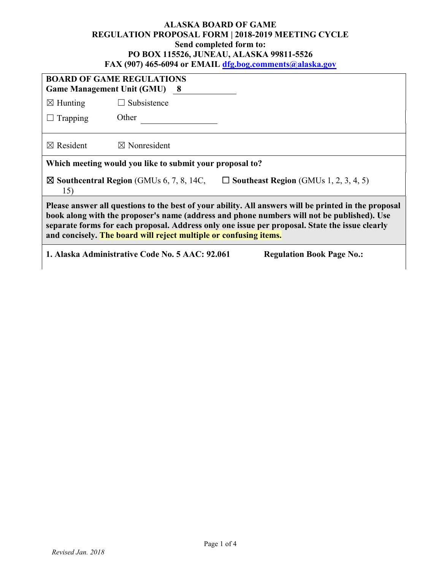#### **ALASKA BOARD OF GAME REGULATION PROPOSAL FORM | 2018-2019 MEETING CYCLE Send completed form to: PO BOX 115526, JUNEAU, ALASKA 99811-5526 FAX (907) 465-6094 or EMAIL [dfg.bog.comments@alaska.gov](mailto:dfg.bog.comments@alaska.gov)**

| <b>BOARD OF GAME REGULATIONS</b><br><b>Game Management Unit (GMU) 8</b>                                                                                                                                                                                                                                                                                                   |                         |  |  |  |
|---------------------------------------------------------------------------------------------------------------------------------------------------------------------------------------------------------------------------------------------------------------------------------------------------------------------------------------------------------------------------|-------------------------|--|--|--|
| $\boxtimes$ Hunting                                                                                                                                                                                                                                                                                                                                                       | $\Box$ Subsistence      |  |  |  |
| $\Box$ Trapping                                                                                                                                                                                                                                                                                                                                                           | Other                   |  |  |  |
| $\boxtimes$ Resident                                                                                                                                                                                                                                                                                                                                                      | $\boxtimes$ Nonresident |  |  |  |
| Which meeting would you like to submit your proposal to?                                                                                                                                                                                                                                                                                                                  |                         |  |  |  |
| $\boxtimes$ Southcentral Region (GMUs 6, 7, 8, 14C,<br>$\Box$ Southeast Region (GMUs 1, 2, 3, 4, 5)<br>15)                                                                                                                                                                                                                                                                |                         |  |  |  |
| Please answer all questions to the best of your ability. All answers will be printed in the proposal<br>book along with the proposer's name (address and phone numbers will not be published). Use<br>separate forms for each proposal. Address only one issue per proposal. State the issue clearly<br>and concisely. The board will reject multiple or confusing items. |                         |  |  |  |
| 1. Alaska Administrative Code No. 5 AAC: 92.061<br><b>Regulation Book Page No.:</b>                                                                                                                                                                                                                                                                                       |                         |  |  |  |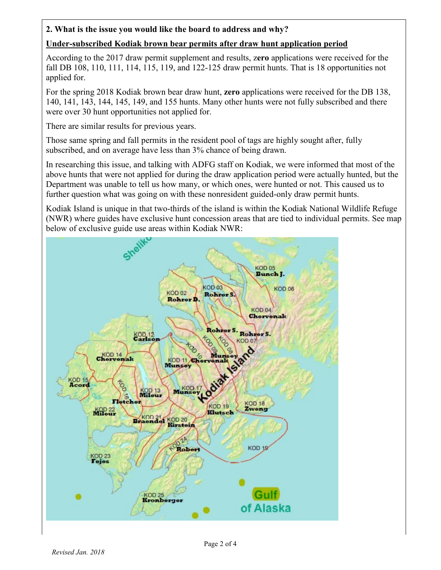### **2. What is the issue you would like the board to address and why?**

### **Under-subscribed Kodiak brown bear permits after draw hunt application period**

According to the 2017 draw permit supplement and results, z**ero** applications were received for the fall DB 108, 110, 111, 114, 115, 119, and 122-125 draw permit hunts. That is 18 opportunities not applied for.

For the spring 2018 Kodiak brown bear draw hunt, **zero** applications were received for the DB 138, 140, 141, 143, 144, 145, 149, and 155 hunts. Many other hunts were not fully subscribed and there were over 30 hunt opportunities not applied for.

There are similar results for previous years.

Those same spring and fall permits in the resident pool of tags are highly sought after, fully subscribed, and on average have less than 3% chance of being drawn.

In researching this issue, and talking with ADFG staff on Kodiak, we were informed that most of the above hunts that were not applied for during the draw application period were actually hunted, but the Department was unable to tell us how many, or which ones, were hunted or not. This caused us to further question what was going on with these nonresident guided-only draw permit hunts.

Kodiak Island is unique in that two-thirds of the island is within the Kodiak National Wildlife Refuge (NWR) where guides have exclusive hunt concession areas that are tied to individual permits. See map below of exclusive guide use areas within Kodiak NWR:

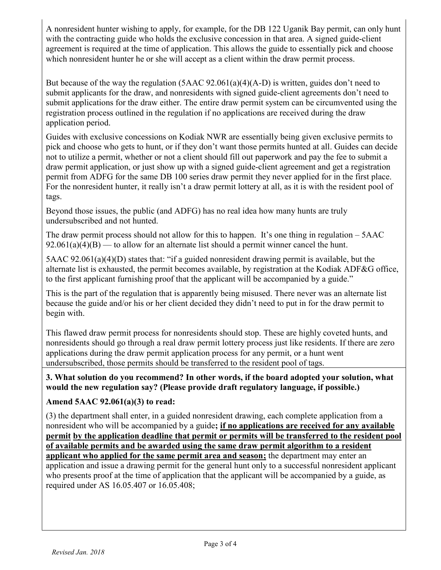A nonresident hunter wishing to apply, for example, for the DB 122 Uganik Bay permit, can only hunt with the contracting guide who holds the exclusive concession in that area. A signed guide-client agreement is required at the time of application. This allows the guide to essentially pick and choose which nonresident hunter he or she will accept as a client within the draw permit process.

But because of the way the regulation (5AAC 92.061(a)(4)(A-D) is written, guides don't need to submit applicants for the draw, and nonresidents with signed guide-client agreements don't need to submit applications for the draw either. The entire draw permit system can be circumvented using the registration process outlined in the regulation if no applications are received during the draw application period.

Guides with exclusive concessions on Kodiak NWR are essentially being given exclusive permits to pick and choose who gets to hunt, or if they don't want those permits hunted at all. Guides can decide not to utilize a permit, whether or not a client should fill out paperwork and pay the fee to submit a draw permit application, or just show up with a signed guide-client agreement and get a registration permit from ADFG for the same DB 100 series draw permit they never applied for in the first place. For the nonresident hunter, it really isn't a draw permit lottery at all, as it is with the resident pool of tags.

Beyond those issues, the public (and ADFG) has no real idea how many hunts are truly undersubscribed and not hunted.

The draw permit process should not allow for this to happen. It's one thing in regulation – 5AAC  $92.061(a)(4)(B)$  — to allow for an alternate list should a permit winner cancel the hunt.

5AAC 92.061(a)(4)(D) states that: "if a guided nonresident drawing permit is available, but the alternate list is exhausted, the permit becomes available, by registration at the Kodiak ADF&G office, to the first applicant furnishing proof that the applicant will be accompanied by a guide."

This is the part of the regulation that is apparently being misused. There never was an alternate list because the guide and/or his or her client decided they didn't need to put in for the draw permit to begin with.

This flawed draw permit process for nonresidents should stop. These are highly coveted hunts, and nonresidents should go through a real draw permit lottery process just like residents. If there are zero applications during the draw permit application process for any permit, or a hunt went undersubscribed, those permits should be transferred to the resident pool of tags.

# **3. What solution do you recommend? In other words, if the board adopted your solution, what would the new regulation say? (Please provide draft regulatory language, if possible.)**

# **Amend 5AAC 92.061(a)(3) to read:**

(3) the department shall enter, in a guided nonresident drawing, each complete application from a nonresident who will be accompanied by a guide**; if no applications are received for any available permit by the application deadline that permit or permits will be transferred to the resident pool of available permits and be awarded using the same draw permit algorithm to a resident applicant who applied for the same permit area and season;** the department may enter an application and issue a drawing permit for the general hunt only to a successful nonresident applicant who presents proof at the time of application that the applicant will be accompanied by a guide, as required under AS 16.05.407 or 16.05.408;